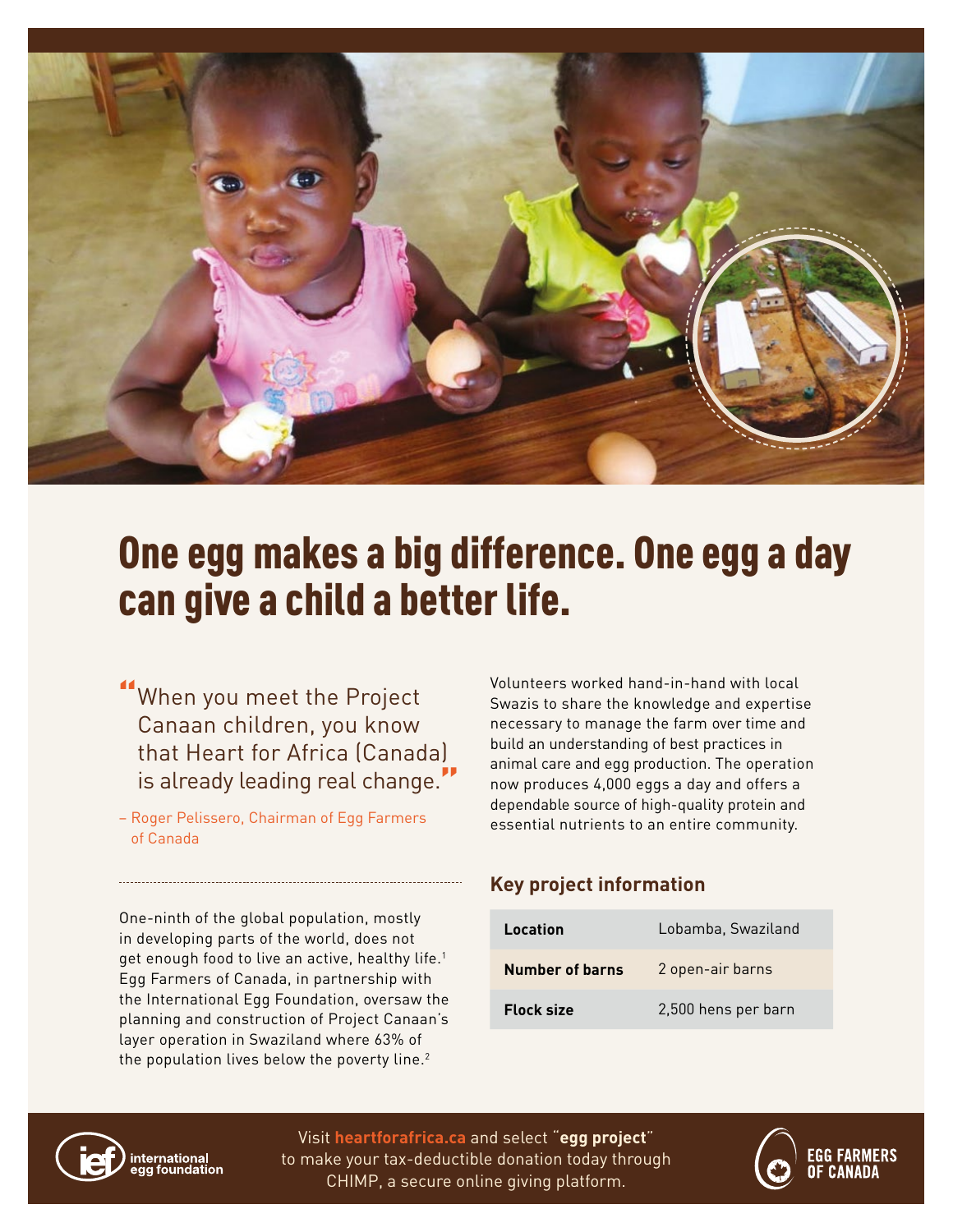

# One egg makes a big difference. One egg a day can give a child a better life.

When you meet the Project Canaan children, you know that Heart for Africa (Canada) is already leading real change."

– Roger Pelissero, Chairman of Egg Farmers of Canada

One-ninth of the global population, mostly in developing parts of the world, does not get enough food to live an active, healthy life.<sup>1</sup> Egg Farmers of Canada, in partnership with the International Egg Foundation, oversaw the planning and construction of Project Canaan's layer operation in Swaziland where 63% of the population lives below the poverty line. $2$ 

Volunteers worked hand-in-hand with local Swazis to share the knowledge and expertise necessary to manage the farm over time and build an understanding of best practices in animal care and egg production. The operation now produces 4,000 eggs a day and offers a dependable source of high-quality protein and essential nutrients to an entire community.

### **Key project information**

| Location          | Lobamba, Swaziland  |
|-------------------|---------------------|
| Number of barns   | 2 open-air barns    |
| <b>Flock size</b> | 2,500 hens per barn |



Visit **heartforafrica.ca** and select "**egg project**" to make your tax-deductible donation today through CHIMP, a secure online giving platform.